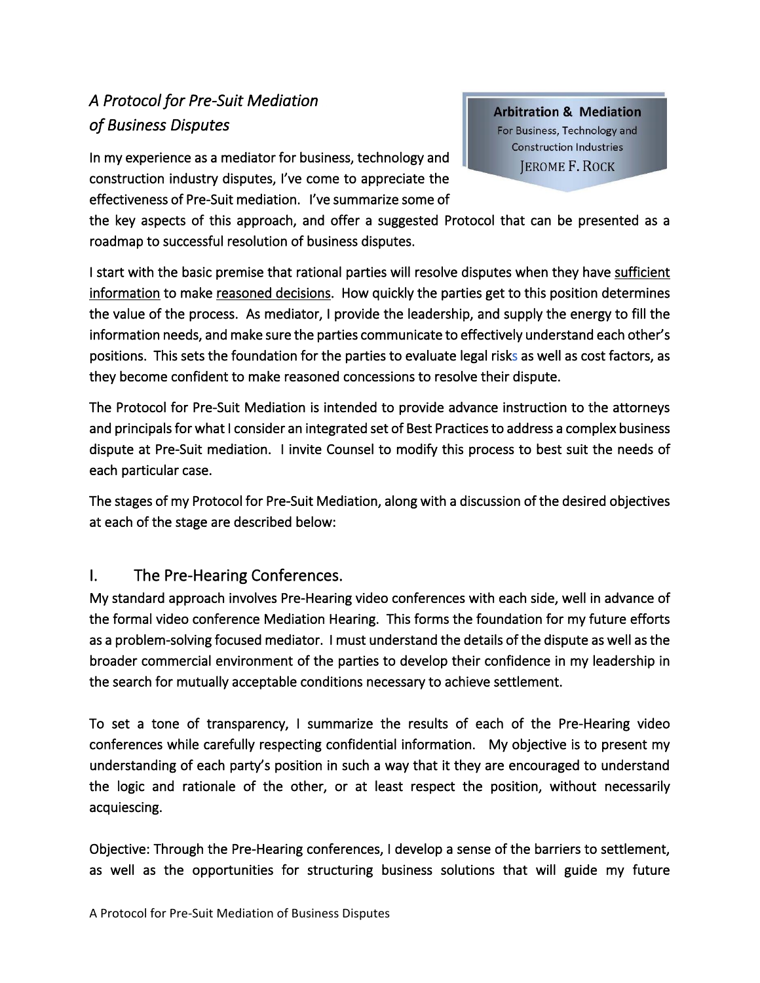# *A Protocol for Pre-Suit Mediation of Business Disputes*

In my experience as a mediator for business, technology and construction industry disputes, I've come to appreciate the effectiveness of Pre-Suit mediation. I've summarize some of **Arbitration & Mediation** For Business, Technology and **Construction Industries JEROME F. ROCK** 

the key aspects of this approach, and offer a suggested Protocol that can be presented as a roadmap to successful resolution of business disputes.

I start with the basic premise that rational parties will resolve disputes when they have sufficient information to make reasoned decisions. How quickly the parties get to this position determines the value of the process. As mediator, I provide the leadership, and supply the energy to fill the information needs, and make sure the parties communicate to effectively understand each other's positions. This sets the foundation for the parties to evaluate legal risks as well as cost factors, as they become confident to make reasoned concessions to resolve their dispute.

The Protocol for Pre-Suit Mediation is intended to provide advance instruction to the attorneys and principals for what I consider an integrated set of Best Practices to address a complex business dispute at Pre-Suit mediation. I invite Counsel to modify this process to best suit the needs of each particular case.

The stages of my Protocol for Pre-Suit Mediation, along with a discussion of the desired objectives at each of the stage are described below:

### I. The Pre-Hearing Conferences.

My standard approach involves Pre-Hearing video conferences with each side, well in advance of the formal video conference Mediation Hearing. This forms the foundation for my future efforts as a problem-solving focused mediator. I must understand the details of the dispute as well as the broader commercial environment of the parties to develop their confidence in my leadership in the search for mutually acceptable conditions necessary to achieve settlement.

To set a tone of transparency, I summarize the results of each of the Pre-Hearing video conferences while carefully respecting confidential information. My objective is to present my understanding of each party's position in such a way that it they are encouraged to understand the logic and rationale of the other, or at least respect the position, without necessarily acquiescing.

Objective: Through the Pre-Hearing conferences, I develop a sense of the barriers to settlement, as well as the opportunities for structuring business solutions that will guide my future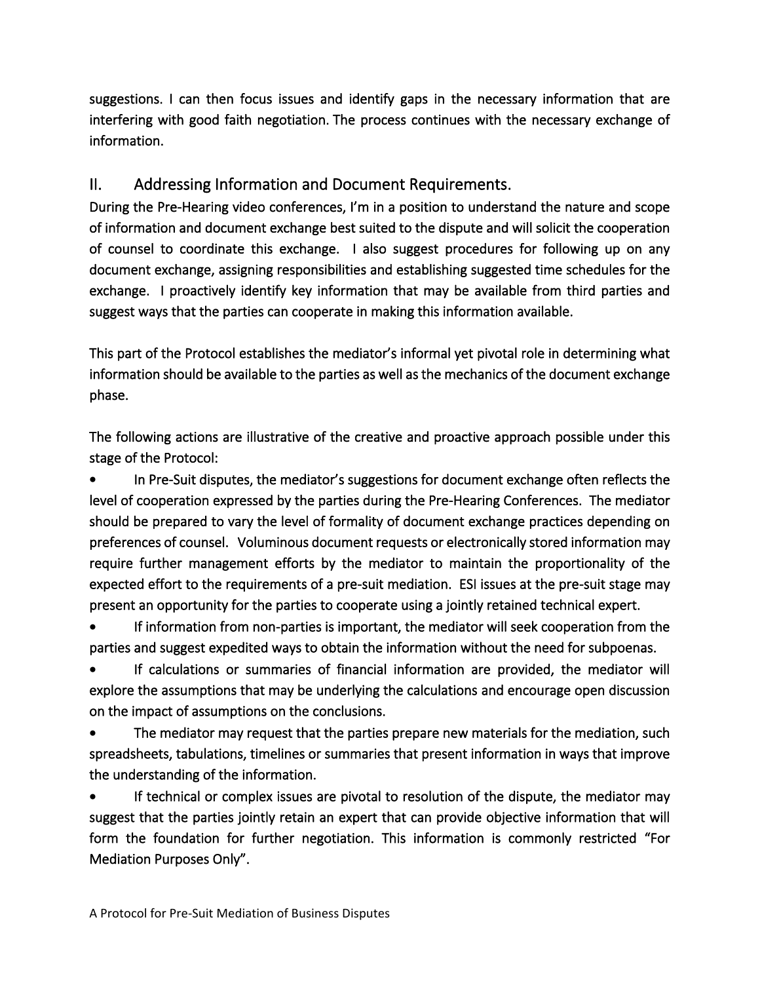suggestions. I can then focus issues and identify gaps in the necessary information that are interfering with good faith negotiation. The process continues with the necessary exchange of information.

# II. Addressing Information and Document Requirements.

During the Pre-Hearing video conferences, I'm in a position to understand the nature and scope of information and document exchange best suited to the dispute and will solicit the cooperation of counsel to coordinate this exchange. I also suggest procedures for following up on any document exchange, assigning responsibilities and establishing suggested time schedules for the exchange. I proactively identify key information that may be available from third parties and suggest ways that the parties can cooperate in making this information available.

This part of the Protocol establishes the mediator's informal yet pivotal role in determining what information should be available to the parties as well as the mechanics of the document exchange phase.

The following actions are illustrative of the creative and proactive approach possible under this stage of the Protocol:

In Pre-Suit disputes, the mediator's suggestions for document exchange often reflects the level of cooperation expressed by the parties during the Pre-Hearing Conferences. The mediator should be prepared to vary the level of formality of document exchange practices depending on preferences of counsel. Voluminous document requests or electronically stored information may require further management efforts by the mediator to maintain the proportionality of the expected effort to the requirements of a pre-suit mediation. ESI issues at the pre-suit stage may present an opportunity for the parties to cooperate using a jointly retained technical expert.

• If information from non-parties is important, the mediator will seek cooperation from the parties and suggest expedited ways to obtain the information without the need for subpoenas.

If calculations or summaries of financial information are provided, the mediator will explore the assumptions that may be underlying the calculations and encourage open discussion on the impact of assumptions on the conclusions.

The mediator may request that the parties prepare new materials for the mediation, such spreadsheets, tabulations, timelines or summaries that present information in ways that improve the understanding of the information.

If technical or complex issues are pivotal to resolution of the dispute, the mediator may suggest that the parties jointly retain an expert that can provide objective information that will form the foundation for further negotiation. This information is commonly restricted "For Mediation Purposes Only".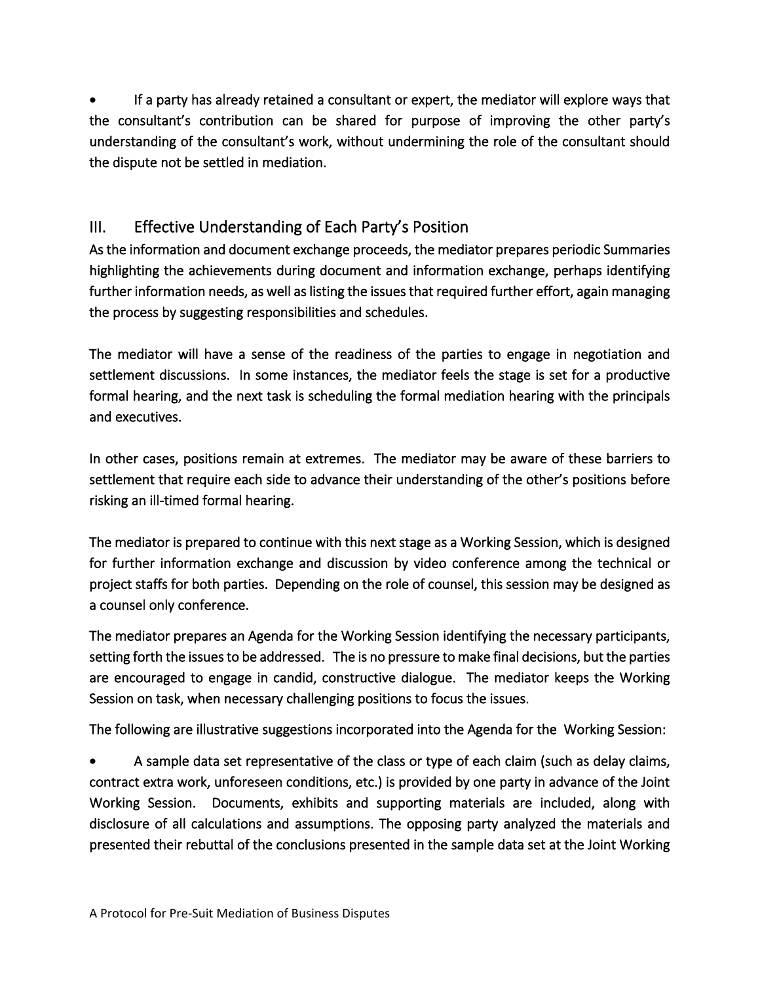• If a party has already retained a consultant or expert, the mediator will explore ways that the consultant's contribution can be shared for purpose of improving the other party's understanding of the consultant's work, without undermining the role of the consultant should the dispute not be settled in mediation.

# III. Effective Understanding of Each Party's Position

As the information and document exchange proceeds, the mediator prepares periodic Summaries highlighting the achievements during document and information exchange, perhaps identifying further information needs, as well as listing the issues that required further effort, again managing the process by suggesting responsibilities and schedules.

The mediator will have a sense of the readiness of the parties to engage in negotiation and settlement discussions. In some instances, the mediator feels the stage is set for a productive formal hearing, and the next task is scheduling the formal mediation hearing with the principals and executives.

In other cases, positions remain at extremes. The mediator may be aware of these barriers to settlement that require each side to advance their understanding of the other's positions before risking an ill-timed formal hearing.

The mediator is prepared to continue with this next stage as a Working Session, which is designed for further information exchange and discussion by video conference among the technical or project staffs for both parties. Depending on the role of counsel, this session may be designed as a counsel only conference.

The mediator prepares an Agenda for the Working Session identifying the necessary participants, setting forth the issues to be addressed. The is no pressure to make final decisions, but the parties are encouraged to engage in candid, constructive dialogue. The mediator keeps the Working Session on task, when necessary challenging positions to focus the issues.

The following are illustrative suggestions incorporated into the Agenda for the Working Session:

• A sample data set representative of the class or type of each claim (such as delay claims, contract extra work, unforeseen conditions, etc.) is provided by one party in advance of the Joint Working Session. Documents, exhibits and supporting materials are included, along with disclosure of all calculations and assumptions. The opposing party analyzed the materials and presented their rebuttal of the conclusions presented in the sample data set at the Joint Working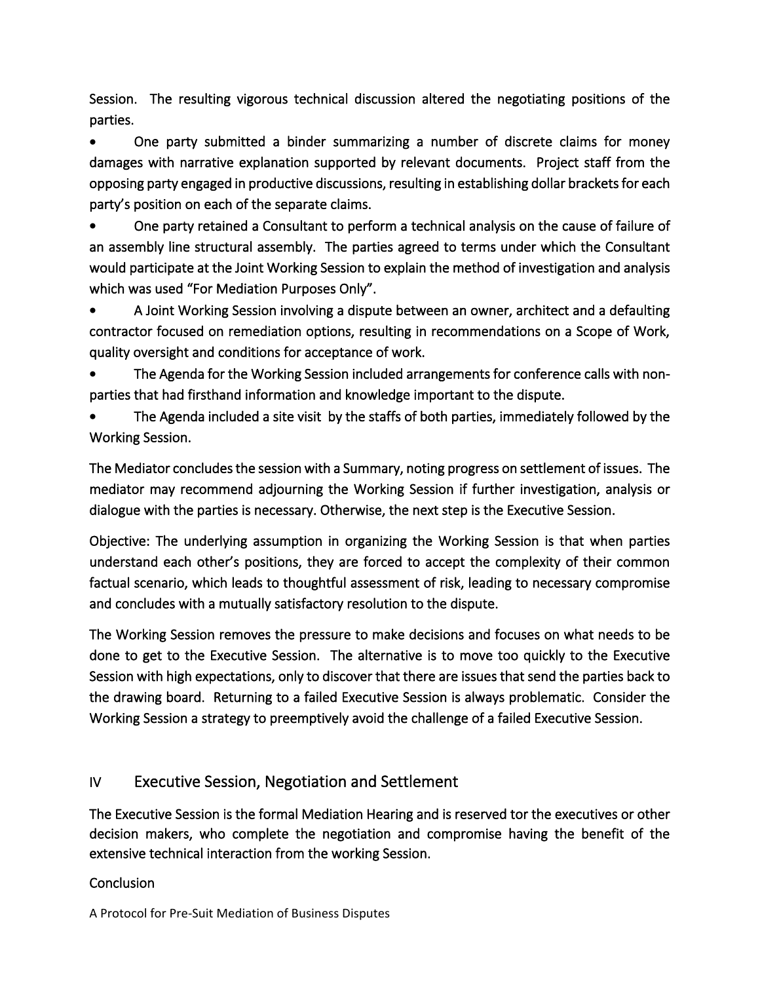Session. The resulting vigorous technical discussion altered the negotiating positions of the parties.

• One party submitted a binder summarizing a number of discrete claims for money damages with narrative explanation supported by relevant documents. Project staff from the opposing party engaged in productive discussions, resulting in establishing dollar brackets for each party's position on each of the separate claims.

• One party retained a Consultant to perform a technical analysis on the cause of failure of an assembly line structural assembly. The parties agreed to terms under which the Consultant would participate at the Joint Working Session to explain the method of investigation and analysis which was used "For Mediation Purposes Only".

• A Joint Working Session involving a dispute between an owner, architect and a defaulting contractor focused on remediation options, resulting in recommendations on a Scope of Work, quality oversight and conditions for acceptance of work.

• The Agenda for the Working Session included arrangements for conference calls with nonparties that had firsthand information and knowledge important to the dispute.

• The Agenda included a site visit by the staffs of both parties, immediately followed by the Working Session.

The Mediator concludes the session with a Summary, noting progress on settlement of issues. The mediator may recommend adjourning the Working Session if further investigation, analysis or dialogue with the parties is necessary. Otherwise, the next step is the Executive Session.

Objective: The underlying assumption in organizing the Working Session is that when parties understand each other's positions, they are forced to accept the complexity of their common factual scenario, which leads to thoughtful assessment of risk, leading to necessary compromise and concludes with a mutually satisfactory resolution to the dispute.

The Working Session removes the pressure to make decisions and focuses on what needs to be done to get to the Executive Session. The alternative is to move too quickly to the Executive Session with high expectations, only to discover that there are issues that send the parties back to the drawing board. Returning to a failed Executive Session is always problematic. Consider the Working Session a strategy to preemptively avoid the challenge of a failed Executive Session.

### IV Executive Session, Negotiation and Settlement

The Executive Session is the formal Mediation Hearing and is reserved tor the executives or other decision makers, who complete the negotiation and compromise having the benefit of the extensive technical interaction from the working Session.

#### **Conclusion**

A Protocol for Pre-Suit Mediation of Business Disputes